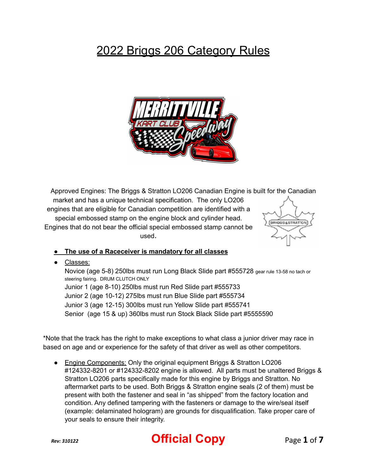## 2022 Briggs 206 Category Rules



Approved Engines: The Briggs & Stratton LO206 Canadian Engine is built for the Canadian market and has a unique technical specification. The only LO206 engines that are eligible for Canadian competition are identified with a special embossed stamp on the engine block and cylinder head. BRIGGS&STRATTON Engines that do not bear the official special embossed stamp cannot be used.



## **● The use of a Raceceiver is mandatory for all classes**

● Classes:

Novice (age 5-8) 250lbs must run Long Black Slide part #555728 gear rule 13-58 no tach or steering fairing. DRUM CLUTCH ONLY Junior 1 (age 8-10) 250lbs must run Red Slide part #555733 Junior 2 (age 10-12) 275lbs must run Blue Slide part #555734 Junior 3 (age 12-15) 300lbs must run Yellow Slide part #555741 Senior (age 15 & up) 360lbs must run Stock Black Slide part #5555590

\*Note that the track has the right to make exceptions to what class a junior driver may race in based on age and or experience for the safety of that driver as well as other competitors.

● Engine Components: Only the original equipment Briggs & Stratton LO206 #124332-8201 or #124332-8202 engine is allowed. All parts must be unaltered Briggs & Stratton LO206 parts specifically made for this engine by Briggs and Stratton. No aftermarket parts to be used. Both Briggs & Stratton engine seals (2 of them) must be present with both the fastener and seal in "as shipped" from the factory location and condition. Any defined tampering with the fasteners or damage to the wire/seal itself (example: delaminated hologram) are grounds for disqualification. Take proper care of your seals to ensure their integrity.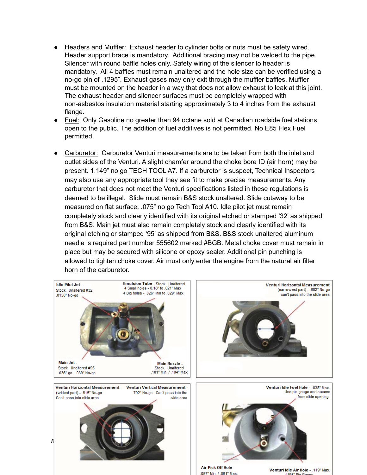- Headers and Muffler: Exhaust header to cylinder bolts or nuts must be safety wired. Header support brace is mandatory. Additional bracing may not be welded to the pipe. Silencer with round baffle holes only. Safety wiring of the silencer to header is mandatory. All 4 baffles must remain unaltered and the hole size can be verified using a no-go pin of .1295". Exhaust gases may only exit through the muffler baffles. Muffler must be mounted on the header in a way that does not allow exhaust to leak at this joint. The exhaust header and silencer surfaces must be completely wrapped with non-asbestos insulation material starting approximately 3 to 4 inches from the exhaust flange.
- Fuel: Only Gasoline no greater than 94 octane sold at Canadian roadside fuel stations open to the public. The addition of fuel additives is not permitted. No E85 Flex Fuel permitted.
- Carburetor: Carburetor Venturi measurements are to be taken from both the inlet and outlet sides of the Venturi. A slight chamfer around the choke bore ID (air horn) may be present. 1.149" no go TECH TOOL A7. If a carburetor is suspect, Technical Inspectors may also use any appropriate tool they see fit to make precise measurements. Any carburetor that does not meet the Venturi specifications listed in these regulations is deemed to be illegal. Slide must remain B&S stock unaltered. Slide cutaway to be measured on flat surface. .075" no go Tech Tool A10. Idle pilot jet must remain completely stock and clearly identified with its original etched or stamped '32' as shipped from B&S. Main jet must also remain completely stock and clearly identified with its original etching or stamped '95' as shipped from B&S. B&S stock unaltered aluminum needle is required part number 555602 marked #BGB. Metal choke cover must remain in place but may be secured with silicone or epoxy sealer. Additional pin punching is allowed to tighten choke cover. Air must only enter the engine from the natural air filter horn of the carburetor.

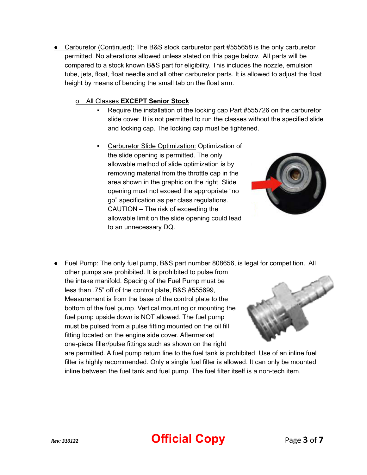● Carburetor (Continued): The B&S stock carburetor part #555658 is the only carburetor permitted. No alterations allowed unless stated on this page below. All parts will be compared to a stock known B&S part for eligibility. This includes the nozzle, emulsion tube, jets, float, float needle and all other carburetor parts. It is allowed to adjust the float height by means of bending the small tab on the float arm.

## o All Classes **EXCEPT Senior Stock**

- Require the installation of the locking cap Part #555726 on the carburetor slide cover. It is not permitted to run the classes without the specified slide and locking cap. The locking cap must be tightened.
- Carburetor Slide Optimization: Optimization of the slide opening is permitted. The only allowable method of slide optimization is by removing material from the throttle cap in the area shown in the graphic on the right. Slide opening must not exceed the appropriate "no go" specification as per class regulations. CAUTION – The risk of exceeding the allowable limit on the slide opening could lead to an unnecessary DQ.



● Fuel Pump: The only fuel pump, B&S part number 808656, is legal for competition. All other pumps are prohibited. It is prohibited to pulse from the intake manifold. Spacing of the Fuel Pump must be less than .75" off of the control plate, B&S #555699, Measurement is from the base of the control plate to the bottom of the fuel pump. Vertical mounting or mounting the fuel pump upside down is NOT allowed. The fuel pump must be pulsed from a pulse fitting mounted on the oil fill fitting located on the engine side cover. Aftermarket one-piece filler/pulse fittings such as shown on the right are permitted. A fuel pump return line to the fuel tank is prohibited. Use of an inline fuel

filter is highly recommended. Only a single fuel filter is allowed. It can only be mounted inline between the fuel tank and fuel pump. The fuel filter itself is a non-tech item.

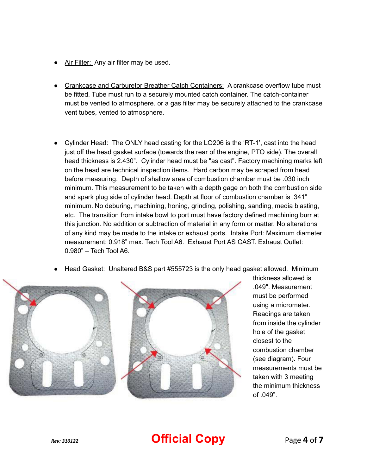- Air Filter: Any air filter may be used.
- Crankcase and Carburetor Breather Catch Containers: A crankcase overflow tube must be fitted. Tube must run to a securely mounted catch container. The catch-container must be vented to atmosphere. or a gas filter may be securely attached to the crankcase vent tubes, vented to atmosphere.
- Cylinder Head: The ONLY head casting for the LO206 is the 'RT-1', cast into the head just off the head gasket surface (towards the rear of the engine, PTO side). The overall head thickness is 2.430". Cylinder head must be "as cast". Factory machining marks left on the head are technical inspection items. Hard carbon may be scraped from head before measuring. Depth of shallow area of combustion chamber must be .030 inch minimum. This measurement to be taken with a depth gage on both the combustion side and spark plug side of cylinder head. Depth at floor of combustion chamber is .341" minimum. No deburing, machining, honing, grinding, polishing, sanding, media blasting, etc. The transition from intake bowl to port must have factory defined machining burr at this junction. No addition or subtraction of material in any form or matter. No alterations of any kind may be made to the intake or exhaust ports. Intake Port: Maximum diameter measurement: 0.918" max. Tech Tool A6. Exhaust Port AS CAST. Exhaust Outlet: 0.980" – Tech Tool A6.
- **Head Gasket: Unaltered B&S part #555723 is the only head gasket allowed. Minimum**



thickness allowed is .049". Measurement must be performed using a micrometer. Readings are taken from inside the cylinder hole of the gasket closest to the combustion chamber (see diagram). Four measurements must be taken with 3 meeting the minimum thickness of .049".

## *Rev: 310122* **Official Copy** Page **4** of **7**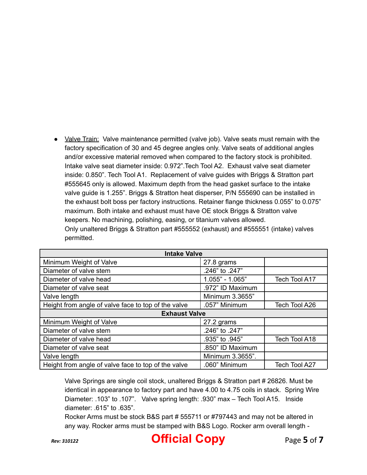• Valve Train: Valve maintenance permitted (valve job). Valve seats must remain with the factory specification of 30 and 45 degree angles only. Valve seats of additional angles and/or excessive material removed when compared to the factory stock is prohibited. Intake valve seat diameter inside: 0.972".Tech Tool A2. Exhaust valve seat diameter inside: 0.850". Tech Tool A1. Replacement of valve guides with Briggs & Stratton part #555645 only is allowed. Maximum depth from the head gasket surface to the intake valve guide is 1.255". Briggs & Stratton heat disperser, P/N 555690 can be installed in the exhaust bolt boss per factory instructions. Retainer flange thickness 0.055" to 0.075" maximum. Both intake and exhaust must have OE stock Briggs & Stratton valve keepers. No machining, polishing, easing, or titanium valves allowed. Only unaltered Briggs & Stratton part #555552 (exhaust) and #555551 (intake) valves permitted.

| <b>Intake Valve</b>                                 |                   |               |
|-----------------------------------------------------|-------------------|---------------|
| Minimum Weight of Valve                             | 27.8 grams        |               |
| Diameter of valve stem                              | .246" to .247"    |               |
| Diameter of valve head                              | $1.055" - 1.065"$ | Tech Tool A17 |
| Diameter of valve seat                              | .972" ID Maximum  |               |
| Valve length                                        | Minimum 3.3655"   |               |
| Height from angle of valve face to top of the valve | .057" Minimum     | Tech Tool A26 |
| <b>Exhaust Valve</b>                                |                   |               |
| Minimum Weight of Valve                             | 27.2 grams        |               |
| Diameter of valve stem                              | .246" to .247"    |               |
| Diameter of valve head                              | .935" to .945"    | Tech Tool A18 |
| Diameter of valve seat                              | .850" ID Maximum  |               |
| Valve length                                        | Minimum 3.3655".  |               |
| Height from angle of valve face to top of the valve | .060" Minimum     | Tech Tool A27 |

Valve Springs are single coil stock, unaltered Briggs & Stratton part # 26826. Must be identical in appearance to factory part and have 4.00 to 4.75 coils in stack. Spring Wire Diameter: .103" to .107". Valve spring length: .930" max – Tech Tool A15. Inside diameter: .615" to .635".

Rocker Arms must be stock B&S part # 555711 or #797443 and may not be altered in any way. Rocker arms must be stamped with B&S Logo. Rocker arm overall length -

*Rev: 310122* **Official Copy** Page **5** of **7**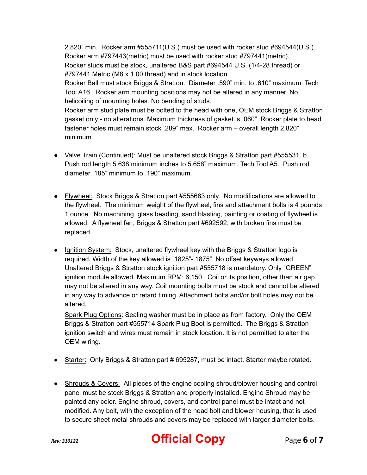2.820" min. Rocker arm #555711(U.S.) must be used with rocker stud #694544(U.S.). Rocker arm #797443(metric) must be used with rocker stud #797441(metric). Rocker studs must be stock, unaltered B&S part #694544 U.S. (1/4-28 thread) or #797441 Metric (M8 x 1.00 thread) and in stock location.

Rocker Ball must stock Briggs & Stratton. Diameter .590" min. to .610" maximum. Tech Tool A16. Rocker arm mounting positions may not be altered in any manner. No helicoiling of mounting holes. No bending of studs.

Rocker arm stud plate must be bolted to the head with one, OEM stock Briggs & Stratton gasket only - no alterations. Maximum thickness of gasket is .060". Rocker plate to head fastener holes must remain stock .289" max. Rocker arm – overall length 2.820" minimum.

- Valve Train (Continued): Must be unaltered stock Briggs & Stratton part #555531. b. Push rod length 5.638 minimum inches to 5.658" maximum. Tech Tool A5. Push rod diameter .185" minimum to .190" maximum.
- Flywheel: Stock Briggs & Stratton part #555683 only. No modifications are allowed to the flywheel. The minimum weight of the flywheel, fins and attachment bolts is 4 pounds 1 ounce. No machining, glass beading, sand blasting, painting or coating of flywheel is allowed. A flywheel fan, Briggs & Stratton part #692592, with broken fins must be replaced.
- Ignition System: Stock, unaltered flywheel key with the Briggs & Stratton logo is required. Width of the key allowed is .1825"-.1875". No offset keyways allowed. Unaltered Briggs & Stratton stock ignition part #555718 is mandatory. Only "GREEN" ignition module allowed. Maximum RPM: 6,150. Coil or its position, other than air gap may not be altered in any way. Coil mounting bolts must be stock and cannot be altered in any way to advance or retard timing. Attachment bolts and/or bolt holes may not be altered.

Spark Plug Options: Sealing washer must be in place as from factory. Only the OEM Briggs & Stratton part #555714 Spark Plug Boot is permitted. The Briggs & Stratton ignition switch and wires must remain in stock location. It is not permitted to alter the OEM wiring.

- Starter: Only Briggs & Stratton part # 695287, must be intact. Starter maybe rotated.
- Shrouds & Covers: All pieces of the engine cooling shroud/blower housing and control panel must be stock Briggs & Stratton and properly installed. Engine Shroud may be painted any color. Engine shroud, covers, and control panel must be intact and not modified. Any bolt, with the exception of the head bolt and blower housing, that is used to secure sheet metal shrouds and covers may be replaced with larger diameter bolts.



*Rev: 310122* **Official Copy** Page **6** of **7**